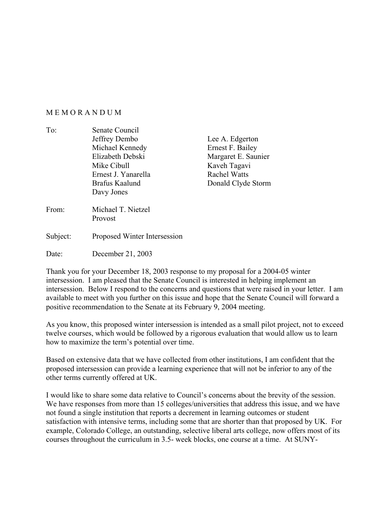## M E M O R A N D U M

| To:               | Senate Council                |                     |
|-------------------|-------------------------------|---------------------|
|                   | Jeffrey Dembo                 | Lee A. Edgerton     |
|                   | Michael Kennedy               | Ernest F. Bailey    |
|                   | Elizabeth Debski              | Margaret E. Saunier |
|                   | Mike Cibull                   | Kaveh Tagavi        |
|                   | Ernest J. Yanarella           | <b>Rachel Watts</b> |
|                   | Brafus Kaalund                | Donald Clyde Storm  |
|                   | Davy Jones                    |                     |
| From <sup>-</sup> | Michael T. Nietzel<br>Provost |                     |
| Subject:          | Proposed Winter Intersession  |                     |

Date: December 21, 2003

Thank you for your December 18, 2003 response to my proposal for a 2004-05 winter intersession. I am pleased that the Senate Council is interested in helping implement an intersession. Below I respond to the concerns and questions that were raised in your letter. I am available to meet with you further on this issue and hope that the Senate Council will forward a positive recommendation to the Senate at its February 9, 2004 meeting.

As you know, this proposed winter intersession is intended as a small pilot project, not to exceed twelve courses, which would be followed by a rigorous evaluation that would allow us to learn how to maximize the term's potential over time.

Based on extensive data that we have collected from other institutions, I am confident that the proposed intersession can provide a learning experience that will not be inferior to any of the other terms currently offered at UK.

I would like to share some data relative to Council's concerns about the brevity of the session. We have responses from more than 15 colleges/universities that address this issue, and we have not found a single institution that reports a decrement in learning outcomes or student satisfaction with intensive terms, including some that are shorter than that proposed by UK. For example, Colorado College, an outstanding, selective liberal arts college, now offers most of its courses throughout the curriculum in 3.5- week blocks, one course at a time. At SUNY-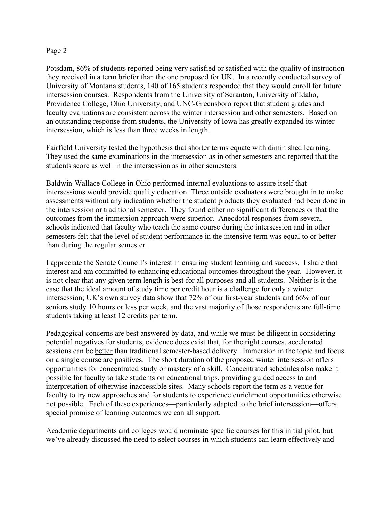## Page 2

Potsdam, 86% of students reported being very satisfied or satisfied with the quality of instruction they received in a term briefer than the one proposed for UK. In a recently conducted survey of University of Montana students, 140 of 165 students responded that they would enroll for future intersession courses. Respondents from the University of Scranton, University of Idaho, Providence College, Ohio University, and UNC-Greensboro report that student grades and faculty evaluations are consistent across the winter intersession and other semesters. Based on an outstanding response from students, the University of Iowa has greatly expanded its winter intersession, which is less than three weeks in length.

Fairfield University tested the hypothesis that shorter terms equate with diminished learning. They used the same examinations in the intersession as in other semesters and reported that the students score as well in the intersession as in other semesters.

Baldwin-Wallace College in Ohio performed internal evaluations to assure itself that intersessions would provide quality education. Three outside evaluators were brought in to make assessments without any indication whether the student products they evaluated had been done in the intersession or traditional semester. They found either no significant differences or that the outcomes from the immersion approach were superior. Anecdotal responses from several schools indicated that faculty who teach the same course during the intersession and in other semesters felt that the level of student performance in the intensive term was equal to or better than during the regular semester.

I appreciate the Senate Council's interest in ensuring student learning and success. I share that interest and am committed to enhancing educational outcomes throughout the year. However, it is not clear that any given term length is best for all purposes and all students. Neither is it the case that the ideal amount of study time per credit hour is a challenge for only a winter intersession; UK's own survey data show that 72% of our first-year students and 66% of our seniors study 10 hours or less per week, and the vast majority of those respondents are full-time students taking at least 12 credits per term.

Pedagogical concerns are best answered by data, and while we must be diligent in considering potential negatives for students, evidence does exist that, for the right courses, accelerated sessions can be better than traditional semester-based delivery. Immersion in the topic and focus on a single course are positives. The short duration of the proposed winter intersession offers opportunities for concentrated study or mastery of a skill. Concentrated schedules also make it possible for faculty to take students on educational trips, providing guided access to and interpretation of otherwise inaccessible sites. Many schools report the term as a venue for faculty to try new approaches and for students to experience enrichment opportunities otherwise not possible. Each of these experiences—particularly adapted to the brief intersession—offers special promise of learning outcomes we can all support.

Academic departments and colleges would nominate specific courses for this initial pilot, but we've already discussed the need to select courses in which students can learn effectively and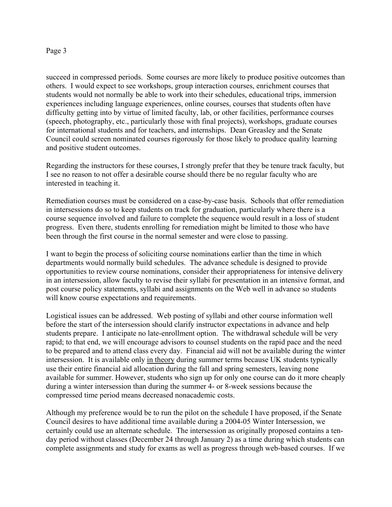## Page 3

succeed in compressed periods. Some courses are more likely to produce positive outcomes than others. I would expect to see workshops, group interaction courses, enrichment courses that students would not normally be able to work into their schedules, educational trips, immersion experiences including language experiences, online courses, courses that students often have difficulty getting into by virtue of limited faculty, lab, or other facilities, performance courses (speech, photography, etc., particularly those with final projects), workshops, graduate courses for international students and for teachers, and internships. Dean Greasley and the Senate Council could screen nominated courses rigorously for those likely to produce quality learning and positive student outcomes.

Regarding the instructors for these courses, I strongly prefer that they be tenure track faculty, but I see no reason to not offer a desirable course should there be no regular faculty who are interested in teaching it.

Remediation courses must be considered on a case-by-case basis. Schools that offer remediation in intersessions do so to keep students on track for graduation, particularly where there is a course sequence involved and failure to complete the sequence would result in a loss of student progress. Even there, students enrolling for remediation might be limited to those who have been through the first course in the normal semester and were close to passing.

I want to begin the process of soliciting course nominations earlier than the time in which departments would normally build schedules. The advance schedule is designed to provide opportunities to review course nominations, consider their appropriateness for intensive delivery in an intersession, allow faculty to revise their syllabi for presentation in an intensive format, and post course policy statements, syllabi and assignments on the Web well in advance so students will know course expectations and requirements.

Logistical issues can be addressed. Web posting of syllabi and other course information well before the start of the intersession should clarify instructor expectations in advance and help students prepare. I anticipate no late-enrollment option. The withdrawal schedule will be very rapid; to that end, we will encourage advisors to counsel students on the rapid pace and the need to be prepared and to attend class every day. Financial aid will not be available during the winter intersession. It is available only in theory during summer terms because UK students typically use their entire financial aid allocation during the fall and spring semesters, leaving none available for summer. However, students who sign up for only one course can do it more cheaply during a winter intersession than during the summer 4- or 8-week sessions because the compressed time period means decreased nonacademic costs.

Although my preference would be to run the pilot on the schedule I have proposed, if the Senate Council desires to have additional time available during a 2004-05 Winter Intersession, we certainly could use an alternate schedule. The intersession as originally proposed contains a tenday period without classes (December 24 through January 2) as a time during which students can complete assignments and study for exams as well as progress through web-based courses. If we